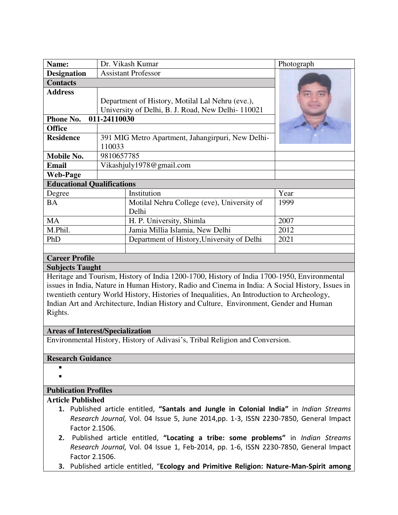| Name:                                                                                            | Dr. Vikash Kumar                                  |                                                    | Photograph |
|--------------------------------------------------------------------------------------------------|---------------------------------------------------|----------------------------------------------------|------------|
| <b>Designation</b>                                                                               | <b>Assistant Professor</b>                        |                                                    |            |
| <b>Contacts</b>                                                                                  |                                                   |                                                    |            |
| <b>Address</b>                                                                                   |                                                   |                                                    |            |
|                                                                                                  | Department of History, Motilal Lal Nehru (eve.),  |                                                    |            |
|                                                                                                  |                                                   | University of Delhi, B. J. Road, New Delhi- 110021 |            |
| Phone No.<br>011-24110030                                                                        |                                                   |                                                    |            |
| <b>Office</b>                                                                                    |                                                   |                                                    |            |
| <b>Residence</b>                                                                                 | 391 MIG Metro Apartment, Jahangirpuri, New Delhi- |                                                    |            |
|                                                                                                  | 110033                                            |                                                    |            |
| Mobile No.                                                                                       | 9810657785                                        |                                                    |            |
| <b>Email</b>                                                                                     | Vikashjuly1978@gmail.com                          |                                                    |            |
| <b>Web-Page</b>                                                                                  |                                                   |                                                    |            |
| <b>Educational Qualifications</b>                                                                |                                                   |                                                    |            |
| Degree                                                                                           |                                                   | Institution                                        | Year       |
| <b>BA</b>                                                                                        |                                                   | Motilal Nehru College (eve), University of         | 1999       |
|                                                                                                  |                                                   | Delhi                                              |            |
| <b>MA</b>                                                                                        |                                                   | H. P. University, Shimla                           | 2007       |
| M.Phil.                                                                                          |                                                   | Jamia Millia Islamia, New Delhi                    | 2012       |
| PhD                                                                                              |                                                   | Department of History, University of Delhi         | 2021       |
|                                                                                                  |                                                   |                                                    |            |
| <b>Career Profile</b>                                                                            |                                                   |                                                    |            |
| <b>Subjects Taught</b>                                                                           |                                                   |                                                    |            |
| Heritage and Tourism, History of India 1200-1700, History of India 1700-1950, Environmental      |                                                   |                                                    |            |
| issues in India, Nature in Human History, Radio and Cinema in India: A Social History, Issues in |                                                   |                                                    |            |
| twentieth century World History, Histories of Inequalities, An Introduction to Archeology,       |                                                   |                                                    |            |

Indian Art and Architecture, Indian History and Culture, Environment, Gender and Human Rights.

# **Areas of Interest/Specialization**

Environmental History, History of Adivasi's, Tribal Religion and Conversion.

#### **Research Guidance**

- .
- $\blacksquare$

# **Publication Profiles**

# **Article Published**

- **1.** Published article entitled, **"Santals and Jungle in Colonial India"** in *Indian Streams Research Journal,* Vol. 04 Issue 5, June 2014,pp. 1-3, ISSN 2230-7850, General Impact Factor 2.1506.
- **2.** Published article entitled, **"Locating a tribe: some problems"** in *Indian Streams Research Journal,* Vol. 04 Issue 1, Feb-2014, pp. 1-6, ISSN 2230-7850, General Impact Factor 2.1506.
- **3.** Published article entitled, "**Ecology and Primitive Religion: Nature-Man-Spirit among**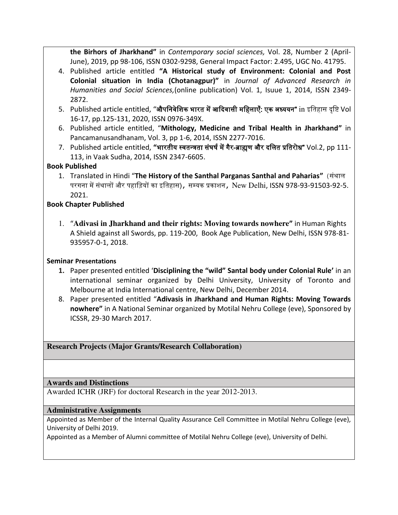**the Birhors of Jharkhand"** in *Contemporary social sciences,* Vol. 28, Number 2 (April-June), 2019, pp 98-106, ISSN 0302-9298, General Impact Factor: 2.495, UGC No. 41795.

- 4. Published article entitled **"A Historical study of Environment: Colonial and Post Colonial situation in India (Chotanagpur)"** in *Journal of Advanced Research in Humanities and Social Sciences,*(online publication) Vol. 1, Isuue 1, 2014, ISSN 2349- 2872.
- 5. Published article entitled, "**औपनिवेशिक भारत में आदिवासी महिलाएँ: एक अध्ययन"** in इतिहास दृष्टि Vol 16-17, pp.125-131, 2020, ISSN 0976-349X.
- 6. Published article entitled, "**Mithology, Medicine and Tribal Health in Jharkhand"** in Pancamanusandhanam, Vol. 3, pp 1-6, 2014, ISSN 2277-7016.
- 7. Published article entitled, **"भारतीय स्वतन्त्रता संघर्ष में गैर-ब्राह्मण और दलित प्रतिरोध" Vol.2, pp 111-**113, in Vaak Sudha, 2014, ISSN 2347-6605.

### **Book Published**

1. Translated in Hindi "**The History of the Santhal Parganas Santhal and Paharias"** (संथाल परगना में संथालों और पहाड़ियों का इतिहास), सम्यक प्रकाशन, New Delhi, ISSN 978-93-91503-92-5. 2021.

### **Book Chapter Published**

1. "**Adivasi in Jharkhand and their rights: Moving towards nowhere"** in Human Rights A Shield against all Swords, pp. 119-200, Book Age Publication, New Delhi, ISSN 978-81- 935957-0-1, 2018.

### **Seminar Presentations**

- **1.** Paper presented entitled '**Disciplining the "wild" Santal body under Colonial Rule'** in an international seminar organized by Delhi University, University of Toronto and Melbourne at India International centre, New Delhi, December 2014.
- 8. Paper presented entitled "**Adivasis in Jharkhand and Human Rights: Moving Towards nowhere"** in A National Seminar organized by Motilal Nehru College (eve), Sponsored by ICSSR, 29-30 March 2017.

**Research Projects (Major Grants/Research Collaboration)** 

#### **Awards and Distinctions**

Awarded ICHR (JRF) for doctoral Research in the year 2012-2013.

#### **Administrative Assignments**

Appointed as Member of the Internal Quality Assurance Cell Committee in Motilal Nehru College (eve), University of Delhi 2019.

Appointed as a Member of Alumni committee of Motilal Nehru College (eve), University of Delhi.